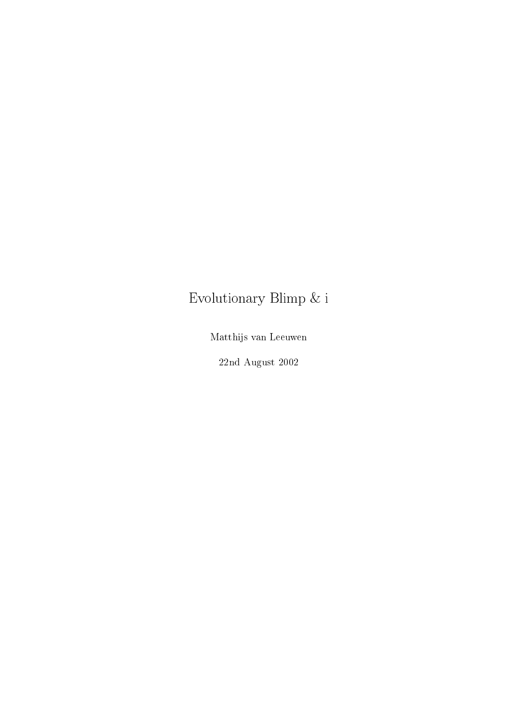## Evolutionary Blimp  $\&$ i

Matthijs van Leeuwen

 $22 \mathrm{nd}$  August $2002$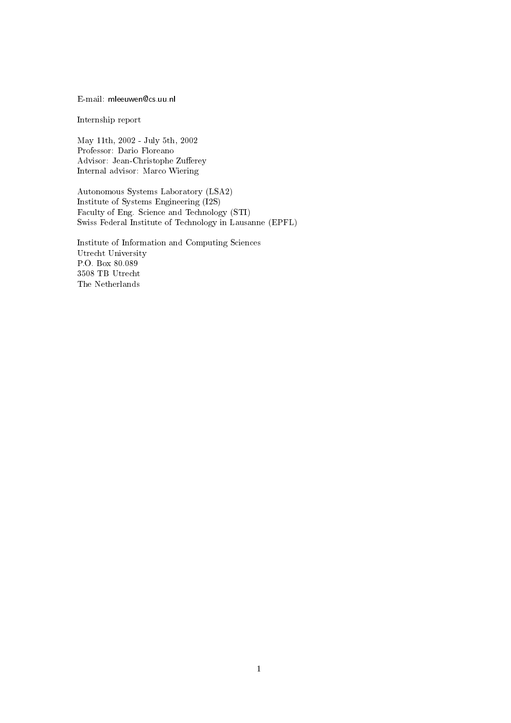E-mail: mleeuwen@cs.uu.nl

Internship report

May 11th, 2002 - July 5th, 2002 Professor: Dario Floreano Advisor: Jean-Christophe Zufferey Internal advisor: Marco Wiering

Autonomous Systems Laboratory (LSA2) Institute of Systems Engineering (I2S) Faculty of Eng. Science and Technology (STI) Swiss Federal Institute of Technology in Lausanne (EPFL)

Institute of Information and Computing Sciences Utrecht University  $\rm P.O.$  Box  $80.089$  $3508$  TB Utrecht The Netherlands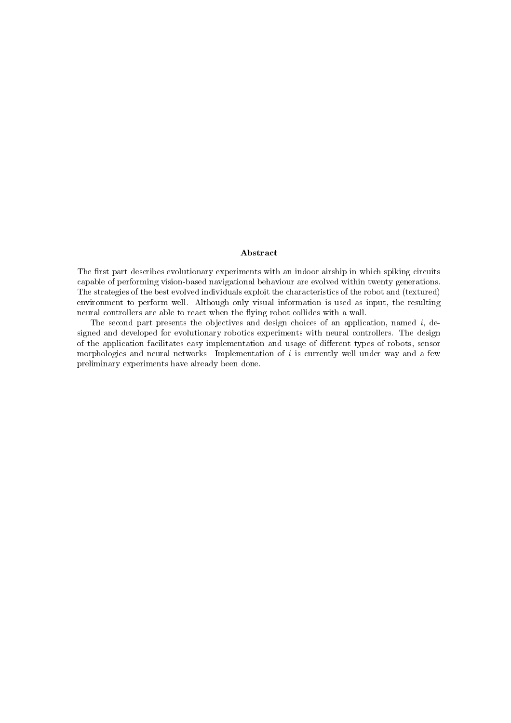### Abstract

The first part describes evolutionary experiments with an indoor airship in which spiking circuits capable of performing vision-based navigational behaviour are evolved within twenty generations. The strategies of the best evolved individuals exploit the characteristics of the robot and (textured) environment to perform well. Although only visual information is used as input, the resulting neural controllers are able to react when the flying robot collides with a wall.

The second part presents the objectives and design choices of an application, named  $i$ , designed and developed for evolutionary robotics experiments with neural controllers. The design of the application facilitates easy implementation and usage of different types of robots, sensor morphologies and neural networks. Implementation of  $i$  is currently well under way and a few preliminary experiments have already been done.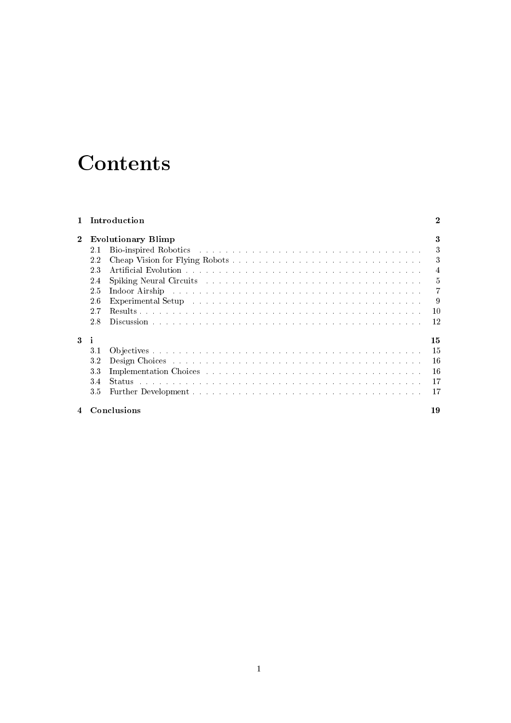## Contents

| $\mathbf{1}$ | Introduction<br><b>Evolutionary Blimp</b> |                                                                                                                                                                                                                                |                |
|--------------|-------------------------------------------|--------------------------------------------------------------------------------------------------------------------------------------------------------------------------------------------------------------------------------|----------------|
| $\mathbf{2}$ |                                           |                                                                                                                                                                                                                                | 3              |
|              | 2.1                                       | Bio-inspired Robotics (Alberta Alberta Alberta Alberta Alberta Alberta Alberta Alberta Alberta Alberta Alberta A                                                                                                               | 3              |
|              | 2.2                                       |                                                                                                                                                                                                                                | 3              |
|              | 2.3                                       |                                                                                                                                                                                                                                | $\overline{4}$ |
|              | 2.4                                       | Spiking Neural Circuits and and and and and and and and an anti-series are series and an anti-series of the Sun and Sun and Sun and Sun and Sun and Sun and Sun and Sun and Sun and Sun and Sun and Sun and Sun and Sun and Su | $\overline{5}$ |
|              | 2.5                                       | Indoor Airship and a subsequently and a subsequently and a subsequently and a subsequently a subsequently and the subsequently and $\mathbb{R}^n$                                                                              | $\overline{7}$ |
|              | 2.6                                       |                                                                                                                                                                                                                                | - 9            |
|              | 2.7                                       |                                                                                                                                                                                                                                | 10             |
|              | 2.8                                       |                                                                                                                                                                                                                                | 12             |
| 3            | ÷i                                        |                                                                                                                                                                                                                                | 15             |
|              | 3.1                                       |                                                                                                                                                                                                                                | -15            |
|              | 32                                        |                                                                                                                                                                                                                                | - 16           |
|              | 3.3                                       | Implementation Choices (Alberta Alberta Alberta Alberta Alberta Alberta Alberta Alberta Alberta Alberta Albert                                                                                                                 | -16            |
|              | 3.4                                       | Status de conserva de conserva de conserva de conserva de conserva de conserva de la conservación de la conservación de la conservación de la conservación de la conservación de la conservación de la conservación de la cons | 17             |
|              | 35                                        |                                                                                                                                                                                                                                | 17             |
|              |                                           | Conclusions                                                                                                                                                                                                                    | 19             |

### 4 Conclusions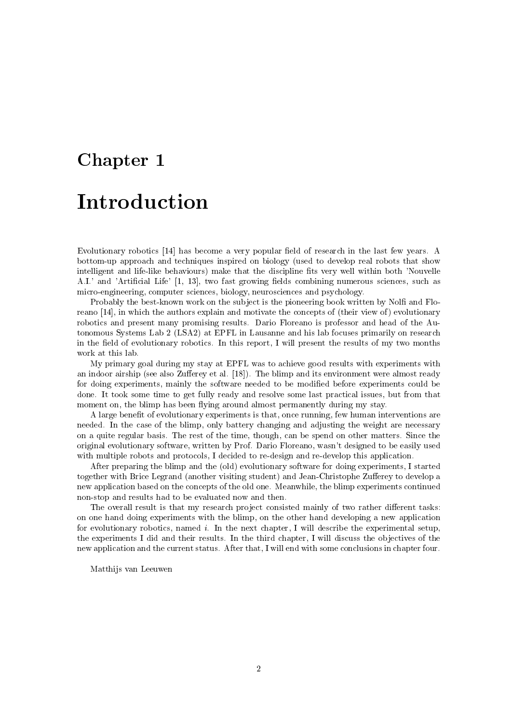# Chapter 1 Introduction

Evolutionary robotics [14] has become a very popular field of research in the last few years. A bottom-up approach and techniques inspired on biology (used to develop real robots that show intelligent and life-like behaviours) make that the discipline fits very well within both 'Nouvelle A.I.' and 'Artificial Life' [1, 13], two fast growing fields combining numerous sciences, such as micro-engineering, computer sciences, biology, neurosciences and psychology.

Probably the best-known work on the subject is the pioneering book written by Nolfi and Floreano [14], in which the authors explain and motivate the concepts of (their view of) evolutionary robotics and present many promising results. Dario Floreano is professor and head of the Autonomous Systems Lab 2 (LSA2) at EPFL in Lausanne and his lab focuses primarily on research in the field of evolutionary robotics. In this report, I will present the results of my two months work at this lab.

My primary goal during my stay at EPFL was to achieve good results with experiments with an indoor airship (see also Zufferey et al. [18]). The blimp and its environment were almost ready for doing experiments, mainly the software needed to be modified before experiments could be done. It took some time to get fully ready and resolve some last practical issues, but from that moment on, the blimp has been flying around almost permanently during my stay.

A large benefit of evolutionary experiments is that, once running, few human interventions are needed. In the case of the blimp, only battery changing and adjusting the weight are necessary on a quite regular basis. The rest of the time, though, can be spend on other matters. Since the original evolutionary software, written by Prof. Dario Floreano, wasn't designed to be easily used with multiple robots and protocols, I decided to re-design and re-develop this application.

After preparing the blimp and the (old) evolutionary software for doing experiments, I started together with Brice Legrand (another visiting student) and Jean-Christophe Zufferey to develop a new application based on the concepts of the old one. Meanwhile, the blimp experiments continued non-stop and results had to be evaluated now and then.

The overall result is that my research project consisted mainly of two rather different tasks: on one hand doing experiments with the blimp, on the other hand developing a new application for evolutionary robotics, named  $i$ . In the next chapter, I will describe the experimental setup, the experiments I did and their results. In the third chapter, I will discuss the objectives of the new application and the current status. After that, I will end with some conclusions in chapter four.

Matthijs van Leeuwen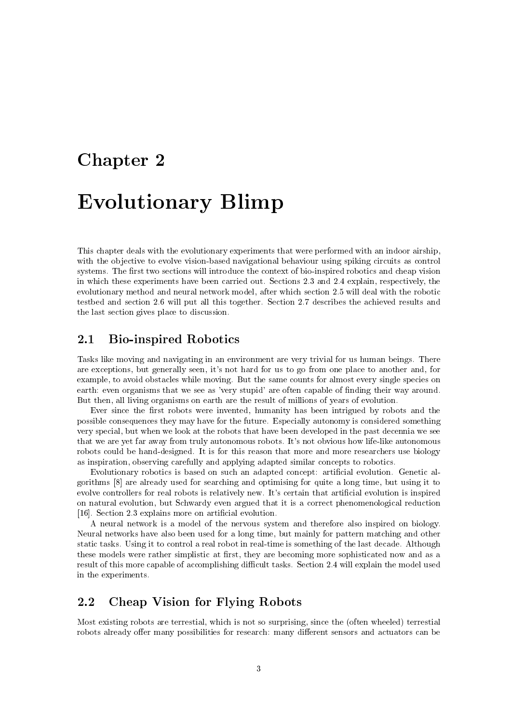# Chapter 2 **Evolutionary Blimp**

This chapter deals with the evolutionary experiments that were performed with an indoor airship. with the objective to evolve vision-based navigational behaviour using spiking circuits as control systems. The first two sections will introduce the context of bio-inspired robotics and cheap vision in which these experiments have been carried out. Sections 2.3 and 2.4 explain, respectively, the evolutionary method and neural network model, after which section 2.5 will deal with the robotic testbed and section 2.6 will put all this together. Section 2.7 describes the achieved results and the last section gives place to discussion.

#### **Bio-inspired Robotics** 2.1

Tasks like moving and navigating in an environment are very trivial for us human beings. There are exceptions, but generally seen, it's not hard for us to go from one place to another and, for example, to avoid obstacles while moving. But the same counts for almost every single species on earth: even organisms that we see as 'very stupid' are often capable of finding their way around. But then, all living organisms on earth are the result of millions of years of evolution.

Ever since the first robots were invented, humanity has been intrigued by robots and the possible consequences they may have for the future. Especially autonomy is considered something very special, but when we look at the robots that have been developed in the past decennia we see that we are yet far away from truly autonomous robots. It's not obvious how life-like autonomous robots could be hand-designed. It is for this reason that more and more researchers use biology as inspiration, observing carefully and applying adapted similar concepts to robotics.

Evolutionary robotics is based on such an adapted concept: artificial evolution. Genetic algorithms [8] are already used for searching and optimising for quite a long time, but using it to evolve controllers for real robots is relatively new. It's certain that artificial evolution is inspired on natural evolution, but Schwardy even argued that it is a correct phenomenological reduction [16]. Section 2.3 explains more on artificial evolution.

A neural network is a model of the nervous system and therefore also inspired on biology. Neural networks have also been used for a long time, but mainly for pattern matching and other static tasks. Using it to control a real robot in real-time is something of the last decade. Although these models were rather simplistic at first, they are becoming more sophisticated now and as a result of this more capable of accomplishing difficult tasks. Section 2.4 will explain the model used in the experiments.

#### $2.2$ **Cheap Vision for Flying Robots**

Most existing robots are terrestial, which is not so surprising, since the (often wheeled) terrestial robots already offer many possibilities for research: many different sensors and actuators can be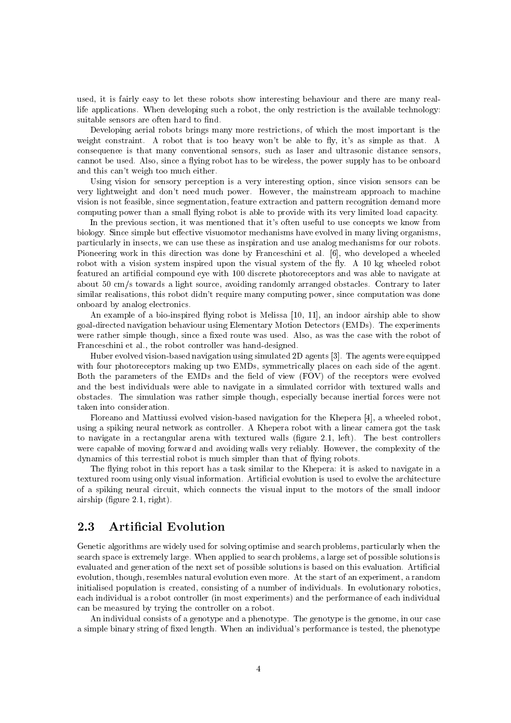used, it is fairly easy to let these robots show interesting behaviour and there are many reallife applications. When developing such a robot, the only restriction is the available technology: suitable sensors are often hard to find.

Developing aerial robots brings many more restrictions, of which the most important is the weight constraint. A robot that is too heavy won't be able to fly, it's as simple as that. A consequence is that many conventional sensors, such as laser and ultrasonic distance sensors, cannot be used. Also, since a flying robot has to be wireless, the power supply has to be onboard and this can't weigh too much either.

Using vision for sensory perception is a very interesting option, since vision sensors can be very lightweight and don't need much power. However, the mainstream approach to machine vision is not feasible, since segmentation, feature extraction and pattern recognition demand more computing power than a small flying robot is able to provide with its very limited load capacity.

In the previous section, it was mentioned that it's often useful to use concepts we know from biology. Since simple but effective visuomotor mechanisms have evolved in many living organisms, particularly in insects, we can use these as inspiration and use analog mechanisms for our robots. Pioneering work in this direction was done by Franceschini et al. [6], who developed a wheeled robot with a vision system inspired upon the visual system of the fly. A 10 kg wheeled robot featured an artificial compound eye with 100 discrete photoreceptors and was able to navigate at about 50 cm/s towards a light source, avoiding randomly arranged obstacles. Contrary to later similar realisations, this robot didn't require many computing power, since computation was done onboard by analog electronics.

An example of a bio-inspired flying robot is Melissa [10, 11], an indoor airship able to show goal-directed navigation behaviour using Elementary Motion Detectors (EMDs). The experiments were rather simple though, since a fixed route was used. Also, as was the case with the robot of Franceschini et al., the robot controller was hand-designed.

Huber evolved vision-based navigation using simulated 2D agents [3]. The agents were equipped with four photoreceptors making up two EMDs, symmetrically places on each side of the agent. Both the parameters of the EMDs and the field of view (FOV) of the receptors were evolved and the best individuals were able to navigate in a simulated corridor with textured walls and obstacles. The simulation was rather simple though, especially because inertial forces were not taken into consideration.

Floreano and Mattiussi evolved vision-based navigation for the Khepera [4], a wheeled robot, using a spiking neural network as controller. A Khepera robot with a linear camera got the task to navigate in a rectangular arena with textured walls (figure 2.1, left). The best controllers were capable of moving forward and avoiding walls very reliably. However, the complexity of the dynamics of this terrestial robot is much simpler than that of flying robots.

The flying robot in this report has a task similar to the Khepera: it is asked to navigate in a textured room using only visual information. Artificial evolution is used to evolve the architecture of a spiking neural circuit, which connects the visual input to the motors of the small indoor airship (figure  $2.1$ , right).

#### 2.3 **Artificial Evolution**

Genetic algorithms are widely used for solving optimise and search problems, particularly when the search space is extremely large. When applied to search problems, a large set of possible solutions is evaluated and generation of the next set of possible solutions is based on this evaluation. Artificial evolution, though, resembles natural evolution even more. At the start of an experiment, a random initialised population is created, consisting of a number of individuals. In evolutionary robotics, each individual is a robot controller (in most experiments) and the performance of each individual can be measured by trying the controller on a robot.

An individual consists of a genotype and a phenotype. The genotype is the genome, in our case a simple binary string of fixed length. When an individual's performance is tested, the phenotype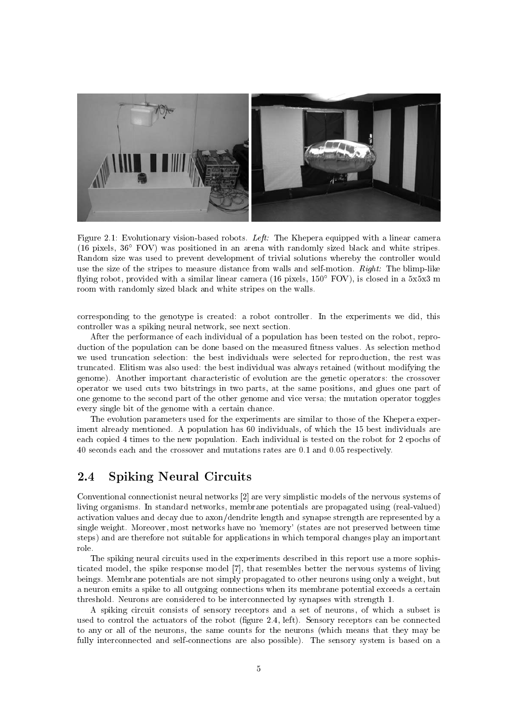

Figure 2.1: Evolutionary vision-based robots. Left: The Khepera equipped with a linear camera  $(16 \text{ pixels}, 36^{\circ} \text{ FOV})$  was positioned in an arena with randomly sized black and white stripes. Random size was used to prevent development of trivial solutions whereby the controller would use the size of the stripes to measure distance from walls and self-motion. Right: The blimp-like flying robot, provided with a similar linear camera (16 pixels,  $150^{\circ}$  FOV), is closed in a  $5x5x3$  m room with randomly sized black and white stripes on the walls.

corresponding to the genotype is created: a robot controller. In the experiments we did, this controller was a spiking neural network, see next section.

After the performance of each individual of a population has been tested on the robot, reproduction of the population can be done based on the measured fitness values. As selection method we used truncation selection: the best individuals were selected for reproduction, the rest was truncated. Elitism was also used: the best individual was always retained (without modifying the genome). Another important characteristic of evolution are the genetic operators: the crossover operator we used cuts two bitstrings in two parts, at the same positions, and glues one part of one genome to the second part of the other genome and vice versa; the mutation operator toggles every single bit of the genome with a certain chance.

The evolution parameters used for the experiments are similar to those of the Khepera experiment already mentioned. A population has 60 individuals, of which the 15 best individuals are each copied 4 times to the new population. Each individual is tested on the robot for 2 epochs of 40 seconds each and the crossover and mutations rates are 0.1 and 0.05 respectively.

#### $2.4$ **Spiking Neural Circuits**

Conventional connectionst neural networks [2] are very simplistic models of the nervous systems of living organisms. In standard networks, membrane potentials are propagated using (real-valued) activation values and decay due to axon/dendrite length and synapse strength are represented by a single weight. Moreover, most networks have no 'memory' (states are not preserved between time steps) and are therefore not suitable for applications in which temporal changes play an important role.

The spiking neural circuits used in the experiments described in this report use a more sophisticated model, the spike response model [7], that resembles better the nervous systems of living beings. Membrane potentials are not simply propagated to other neurons using only a weight, but a neuron emits a spike to all outgoing connections when its membrane potential exceeds a certain threshold. Neurons are considered to be interconnected by synapses with strength 1.

A spiking circuit consists of sensory receptors and a set of neurons, of which a subset is used to control the actuators of the robot (figure 2.4, left). Sensory receptors can be connected to any or all of the neurons, the same counts for the neurons (which means that they may be fully interconnected and self-connections are also possible). The sensory system is based on a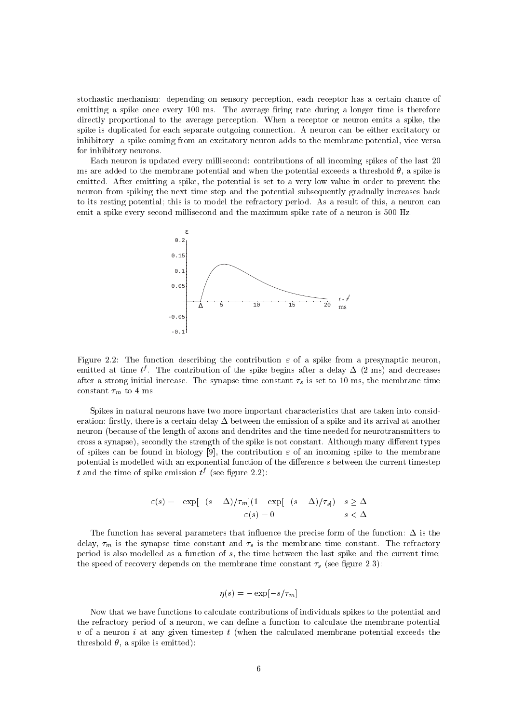stochastic mechanism: depending on sensory perception, each receptor has a certain chance of emitting a spike once every 100 ms. The average firing rate during a longer time is therefore directly proportional to the average perception. When a receptor or neuron emits a spike, the spike is duplicated for each separate outgoing connection. A neuron can be either excitatory or inhibitory: a spike coming from an excitatory neuron adds to the membrane potential, vice versa for inhibitory neurons.

Each neuron is updated every millisecond: contributions of all incoming spikes of the last 20 ms are added to the membrane potential and when the potential exceeds a threshold  $\theta$ , a spike is emitted. After emitting a spike, the potential is set to a very low value in order to prevent the neuron from spiking the next time step and the potential subsequently gradually increases back to its resting potential; this is to model the refractory period. As a result of this, a neuron can emit a spike every second millisecond and the maximum spike rate of a neuron is 500 Hz.



Figure 2.2: The function describing the contribution  $\varepsilon$  of a spike from a presynaptic neuron, emitted at time  $t^f$ . The contribution of the spike begins after a delay  $\Delta$  (2 ms) and decreases after a strong initial increase. The synapse time constant  $\tau_s$  is set to 10 ms, the membrane time constant  $\tau_m$  to 4 ms.

Spikes in natural neurons have two more important characteristics that are taken into consideration: firstly, there is a certain delay  $\Delta$  between the emission of a spike and its arrival at another neuron (because of the length of axons and dendrites and the time needed for neurotransmitters to cross a synapse), secondly the strength of the spike is not constant. Although many different types of spikes can be found in biology [9], the contribution  $\varepsilon$  of an incoming spike to the membrane potential is modelled with an exponential function of the difference s between the current timestep t and the time of spike emission  $t^f$  (see figure 2.2):

$$
\varepsilon(s) = \exp[-(s-\Delta)/\tau_m](1 - \exp[-(s-\Delta)/\tau_s]) \quad s \ge \Delta
$$
  

$$
\varepsilon(s) = 0 \quad s < \Delta
$$

The function has several parameters that influence the precise form of the function:  $\Delta$  is the delay,  $\tau_m$  is the synapse time constant and  $\tau_s$  is the membrane time constant. The refractory period is also modelled as a function of  $s$ , the time between the last spike and the current time; the speed of recovery depends on the membrane time constant  $\tau_s$  (see figure 2.3):

$$
\eta(s) = -\exp[-s/\tau_m]
$$

Now that we have functions to calculate contributions of individuals spikes to the potential and the refractory period of a neuron, we can define a function to calculate the membrane potential  $v$  of a neuron i at any given timestep t (when the calculated membrane potential exceeds the threshold  $\theta$ , a spike is emitted):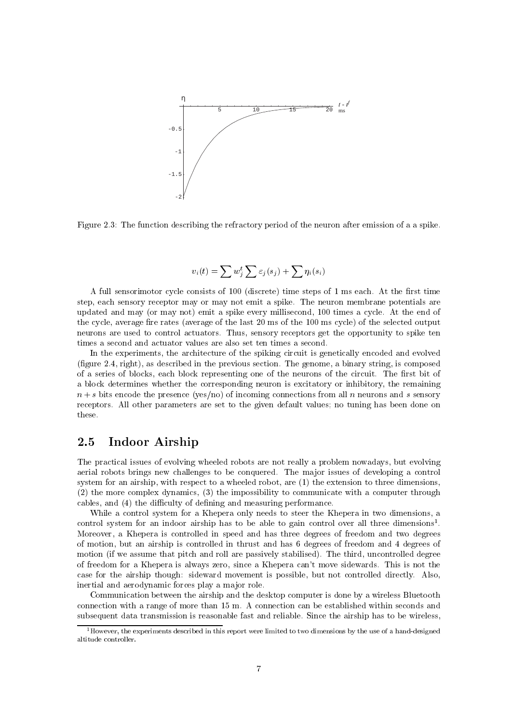

Figure 2.3: The function describing the refractory period of the neuron after emission of a a spike.

$$
v_i(t) = \sum w_j^t \sum \varepsilon_j(s_j) + \sum \eta_i(s_i)
$$

A full sensorimotor cycle consists of 100 (discrete) time steps of 1 ms each. At the first time step, each sensory receptor may or may not emit a spike. The neuron membrane potentials are updated and may (or may not) emit a spike every millisecond, 100 times a cycle. At the end of the cycle, average fire rates (average of the last 20 ms of the 100 ms cycle) of the selected output neurons are used to control actuators. Thus, sensory receptors get the opportunity to spike ten times a second and actuator values are also set ten times a second.

In the experiments, the architecture of the spiking circuit is genetically encoded and evolved (figure 2.4, right), as described in the previous section. The genome, a binary string, is composed of a series of blocks, each block representing one of the neurons of the circuit. The first bit of a block determines whether the corresponding neuron is excitatory or inhibitory, the remaining  $n + s$  bits encode the presence (yes/no) of incoming connections from all n neurons and s sensory receptors. All other parameters are set to the given default values; no tuning has been done on these.

#### 2.5 Indoor Airship

The practical issues of evolving wheeled robots are not really a problem nowadays, but evolving aerial robots brings new challenges to be conquered. The major issues of developing a control system for an airship, with respect to a wheeled robot, are (1) the extension to three dimensions, (2) the more complex dynamics, (3) the impossibility to communicate with a computer through cables, and (4) the difficulty of defining and measuring performance.

While a control system for a Khepera only needs to steer the Khepera in two dimensions, a control system for an indoor airship has to be able to gain control over all three dimensions<sup>1</sup>. Moreover, a Khepera is controlled in speed and has three degrees of freedom and two degrees of motion, but an airship is controlled in thrust and has 6 degrees of freedom and 4 degrees of motion (if we assume that pitch and roll are passively stabilised). The third, uncontrolled degree of freedom for a Khepera is always zero, since a Khepera can't move sidewards. This is not the case for the airship though: sideward movement is possible, but not controlled directly. Also, inertial and aerodynamic forces play a major role.

Communication between the airship and the desktop computer is done by a wireless Bluetooth connection with a range of more than 15 m. A connection can be established within seconds and subsequent data transmission is reasonable fast and reliable. Since the airship has to be wireless,

 $^1$ However, the experiments described in this report were limited to two dimensions by the use of a hand-designed altitude controller.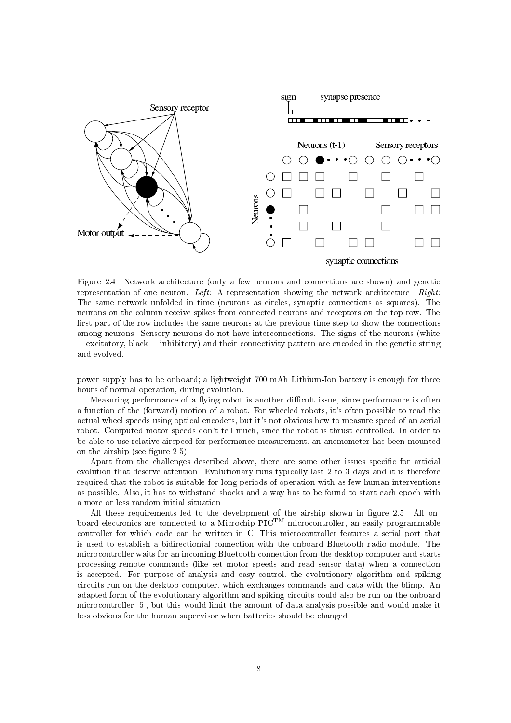

Figure 2.4: Network architecture (only a few neurons and connections are shown) and genetic representation of one neuron. Left: A representation showing the network architecture. Right: The same network unfolded in time (neurons as circles, synaptic connections as squares). The neurons on the column receive spikes from connected neurons and receptors on the top row. The first part of the row includes the same neurons at the previous time step to show the connections among neurons. Sensory neurons do not have interconnections. The signs of the neurons (white  $=$  excitatory, black  $=$  inhibitory) and their connectivity pattern are encoded in the genetic string and evolved.

power supply has to be onboard; a lightweight 700 mAh Lithium-Ion battery is enough for three hours of normal operation, during evolution.

Measuring performance of a flying robot is another difficult issue, since performance is often a function of the (forward) motion of a robot. For wheeled robots, it's often possible to read the actual wheel speeds using optical encoders, but it's not obvious how to measure speed of an aerial robot. Computed motor speeds don't tell much, since the robot is thrust controlled. In order to be able to use relative airspeed for performance measurement, an anemometer has been mounted on the airship (see figure  $2.5$ ).

Apart from the challenges described above, there are some other issues specific for articial evolution that deserve attention. Evolutionary runs typically last 2 to 3 days and it is therefore required that the robot is suitable for long periods of operation with as few human interventions as possible. Also, it has to withstand shocks and a way has to be found to start each epoch with a more or less random initial situation.

All these requirements led to the development of the airship shown in figure 2.5. All onboard electronics are connected to a Microchip  $\rm{PIC^{TM}}$  microcontroller, an easily programmable controller for which code can be written in C. This microcontroller features a serial port that is used to establish a bidirectionial connection with the onboard Bluetooth radio module. The microcontroller waits for an incoming Bluetooth connection from the desktop computer and starts processing remote commands (like set motor speeds and read sensor data) when a connection is accepted. For purpose of analysis and easy control, the evolutionary algorithm and spiking circuits run on the desktop computer, which exchanges commands and data with the blimp. An adapted form of the evolutionary algorithm and spiking circuits could also be run on the onboard microcontroller [5], but this would limit the amount of data analysis possible and would make it less obvious for the human supervisor when batteries should be changed.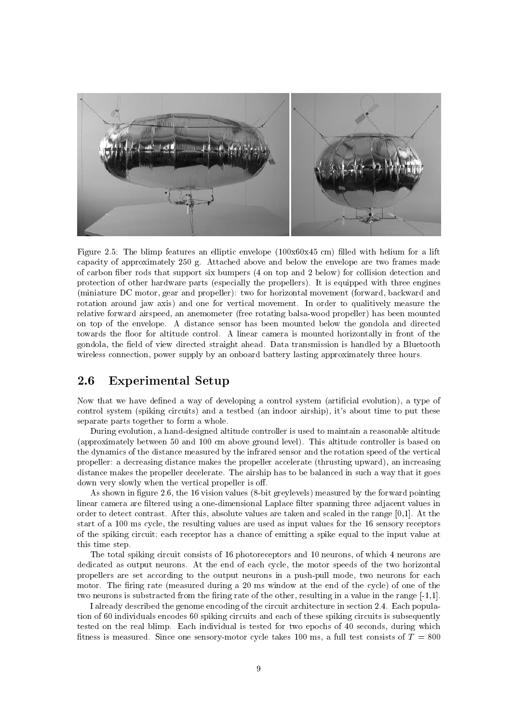

Figure 2.5: The blimp features an elliptic envelope (100x60x45 cm) filled with helium for a lift capacity of approximately 250 g. Attached above and below the envelope are two frames made of carbon fiber rods that support six bumpers (4 on top and 2 below) for collision detection and protection of other hardware parts (especially the propellers). It is equipped with three engines (miniature DC motor, gear and propeller): two for horizontal movement (forward, backward and rotation around jaw axis) and one for vertical movement. In order to qualitively measure the relative forward airspeed, an anemometer (free rotating balsa-wood propeller) has been mounted on top of the envelope. A distance sensor has been mounted below the gondola and directed towards the floor for altitude control. A linear camera is mounted horizontally in front of the gondola, the field of view directed straight ahead. Data transmission is handled by a Bluetooth wireless connection, power supply by an onboard battery lasting approximately three hours.

#### 2.6 **Experimental Setup**

Now that we have defined a way of developing a control system (artificial evolution), a type of control system (spiking circuits) and a testbed (an indoor airship), it's about time to put these separate parts together to form a whole.

During evolution, a hand-designed altitude controller is used to maintain a reasonable altitude (approximately between 50 and 100 cm above ground level). This altitude controller is based on the dynamics of the distance measured by the infrared sensor and the rotation speed of the vertical propeller: a decreasing distance makes the propeller accelerate (thrusting upward), an increasing distance makes the propeller decelerate. The airship has to be balanced in such a way that it goes down very slowly when the vertical propeller is off.

As shown in figure 2.6, the 16 vision values (8-bit greylevels) measured by the forward pointing linear camera are filtered using a one-dimensional Laplace filter spanning three adiacent values in order to detect contrast. After this, absolute values are taken and scaled in the range [0,1]. At the start of a 100 ms cycle, the resulting values are used as input values for the 16 sensory receptors of the spiking circuit; each receptor has a chance of emitting a spike equal to the input value at this time step.

The total spiking circuit consists of 16 photoreceptors and 10 neurons, of which 4 neurons are dedicated as output neurons. At the end of each cycle, the motor speeds of the two horizontal propellers are set according to the output neurons in a push-pull mode, two neurons for each motor. The firing rate (measured during a 20 ms window at the end of the cycle) of one of the two neurons is substracted from the firing rate of the other, resulting in a value in the range [-1,1].

I already described the genome encoding of the circuit architecture in section 2.4. Each population of 60 individuals encodes 60 spiking circuits and each of these spiking circuits is subsequently tested on the real blimp. Each individual is tested for two epochs of 40 seconds, during which fitness is measured. Since one sensory-motor cycle takes 100 ms, a full test consists of  $T = 800$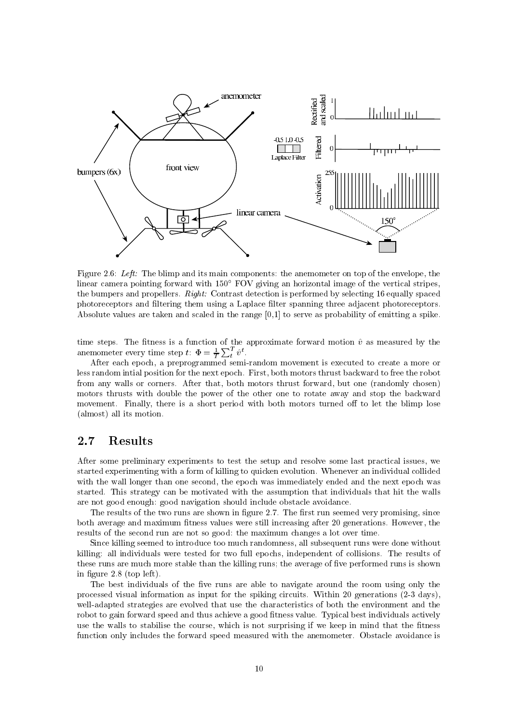

Figure 2.6: Left: The blimp and its main components: the anemometer on top of the envelope, the linear camera pointing forward with 150° FOV giving an horizontal image of the vertical stripes. the bumpers and propellers. Right: Contrast detection is performed by selecting 16 equally spaced photoreceptors and filtering them using a Laplace filter spanning three adjacent photoreceptors. Absolute values are taken and scaled in the range  $[0,1]$  to serve as probability of emitting a spike.

time steps. The fitness is a function of the approximate forward motion  $\hat{v}$  as measured by the anemometer every time step  $t$ :  $\Phi = \frac{1}{T} \sum_{t}^{T} \hat{v}^{t}$ .

After each epoch, a preprogrammed semi-random movement is executed to create a more or less random initial position for the next epoch. First, both motors thrust backward to free the robot from any walls or corners. After that, both motors thrust forward, but one (randomly chosen) motors thrusts with double the power of the other one to rotate away and stop the backward movement. Finally, there is a short period with both motors turned off to let the blimp lose (almost) all its motion.

#### $2.7$ **Results**

After some preliminary experiments to test the setup and resolve some last practical issues, we started experimenting with a form of killing to quicken evolution. Whenever an individual collided with the wall longer than one second, the epoch was immediately ended and the next epoch was started. This strategy can be motivated with the assumption that individuals that hit the walls are not good enough: good navigation should include obstacle avoidance.

The results of the two runs are shown in figure 2.7. The first run seemed very promising, since both average and maximum fitness values were still increasing after 20 generations. However, the results of the second run are not so good: the maximum changes a lot over time.

Since killing seemed to introduce too much randomness, all subsequent runs were done without killing: all individuals were tested for two full epochs, independent of collisions. The results of these runs are much more stable than the killing runs; the average of five performed runs is shown in figure  $2.8$  (top left).

The best individuals of the five runs are able to navigate around the room using only the processed visual information as input for the spiking circuits. Within 20 generations (2-3 days), well-adapted strategies are evolved that use the characteristics of both the environment and the robot to gain forward speed and thus achieve a good fitness value. Typical best individuals actively use the walls to stabilise the course, which is not surprising if we keep in mind that the fitness function only includes the forward speed measured with the anemometer. Obstacle avoidance is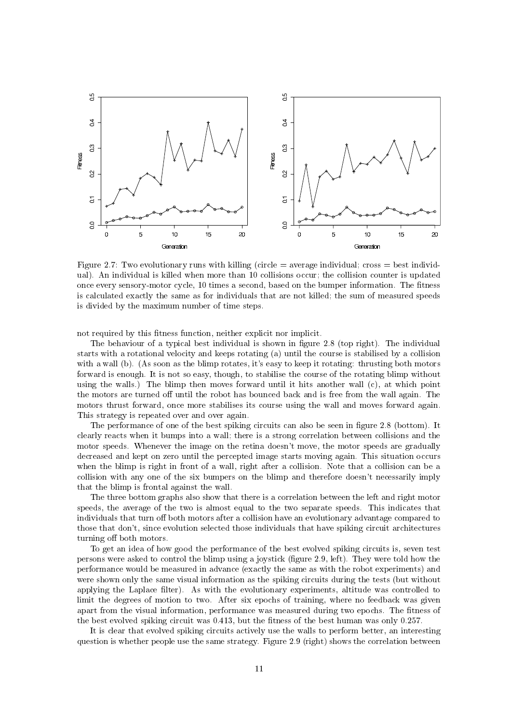

Figure 2.7: Two evolutionary runs with killing (circle  $=$  average individual; cross  $=$  best individual). An individual is killed when more than 10 collisions occur; the collision counter is updated once every sensory-motor cycle, 10 times a second, based on the bumper information. The fitness is calculated exactly the same as for individuals that are not killed; the sum of measured speeds is divided by the maximum number of time steps.

not required by this fitness function, neither explicit nor implicit.

The behaviour of a typical best individual is shown in figure 2.8 (top right). The individual starts with a rotational velocity and keeps rotating (a) until the course is stabilised by a collision with a wall (b). (As soon as the blimp rotates, it's easy to keep it rotating: thrusting both motors forward is enough. It is not so easy, though, to stabilise the course of the rotating blimp without using the walls.) The blimp then moves forward until it hits another wall (c), at which point the motors are turned off until the robot has bounced back and is free from the wall again. The motors thrust forward, once more stabilises its course using the wall and moves forward again. This strategy is repeated over and over again.

The performance of one of the best spiking circuits can also be seen in figure 2.8 (bottom). It clearly reacts when it bumps into a wall; there is a strong correlation between collisions and the motor speeds. Whenever the image on the retina doesn't move, the motor speeds are gradually decreased and kept on zero until the percepted image starts moving again. This situation occurs when the blimp is right in front of a wall, right after a collision. Note that a collision can be a collision with any one of the six bumpers on the blimp and therefore doesn't necessarily imply that the blimp is frontal against the wall.

The three bottom graphs also show that there is a correlation between the left and right motor speeds, the average of the two is almost equal to the two separate speeds. This indicates that individuals that turn off both motors after a collision have an evolutionary advantage compared to those that don't, since evolution selected those individuals that have spiking circuit architectures turning off both motors.

To get an idea of how good the performance of the best evolved spiking circuits is, seven test persons were asked to control the blimp using a joystick (figure 2.9, left). They were told how the performance would be measured in advance (exactly the same as with the robot experiments) and were shown only the same visual information as the spiking circuits during the tests (but without applying the Laplace filter). As with the evolutionary experiments, altitude was controlled to limit the degrees of motion to two. After six epochs of training, where no feedback was given apart from the visual information, performance was measured during two epochs. The fitness of the best evolved spiking circuit was  $0.413$ , but the fitness of the best human was only  $0.257$ .

It is clear that evolved spiking circuits actively use the walls to perform better, an interesting question is whether people use the same strategy. Figure 2.9 (right) shows the correlation between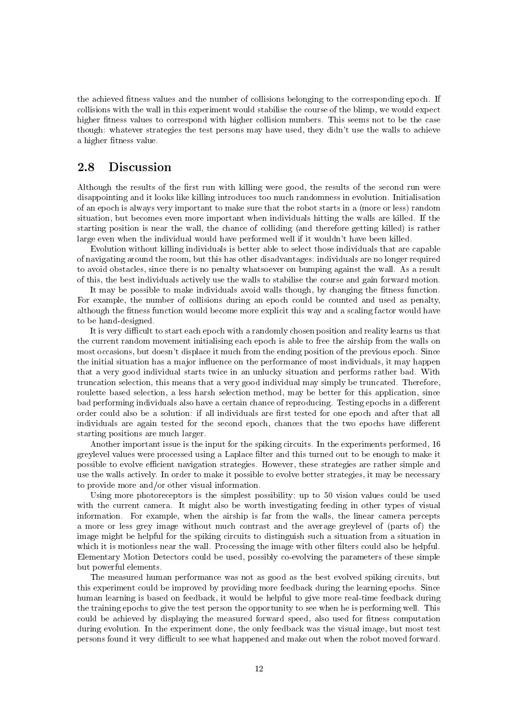the achieved fitness values and the number of collisions belonging to the corresponding epoch. If collisions with the wall in this experiment would stabilise the course of the blimp, we would expect higher fitness values to correspond with higher collision numbers. This seems not to be the case though: whatever strategies the test persons may have used, they didn't use the walls to achieve a higher fitness value.

#### **Discussion** 2.8

Although the results of the first run with killing were good, the results of the second run were disappointing and it looks like killing introduces too much randomness in evolution. Initialisation of an epoch is always very important to make sure that the robot starts in a (more or less) random situation, but becomes even more important when individuals hitting the walls are killed. If the starting position is near the wall, the chance of colliding (and therefore getting killed) is rather large even when the individual would have performed well if it wouldn't have been killed.

Evolution without killing individuals is better able to select those individuals that are capable of navigating around the room, but this has other disadvantages: individuals are no longer required to avoid obstacles, since there is no penalty whatsoever on bumping against the wall. As a result of this, the best individuals actively use the walls to stabilise the course and gain forward motion.

It may be possible to make individuals avoid walls though, by changing the fitness function. For example, the number of collisions during an epoch could be counted and used as penalty, although the fitness function would become more explicit this way and a scaling factor would have to be hand-designed.

It is very difficult to start each epoch with a randomly chosen position and reality learns us that the current random movement initialising each epoch is able to free the airship from the walls on most occasions, but doesn't displace it much from the ending position of the previous epoch. Since the initial situation has a major influence on the performance of most individuals, it may happen that a very good individual starts twice in an unlucky situation and performs rather bad. With truncation selection, this means that a very good individual may simply be truncated. Therefore, roulette based selection, a less harsh selection method, may be better for this application, since bad performing individuals also have a certain chance of reproducing. Testing epochs in a different order could also be a solution: if all individuals are first tested for one epoch and after that all individuals are again tested for the second epoch, chances that the two epochs have different starting positions are much larger.

Another important issue is the input for the spiking circuits. In the experiments performed, 16 greylevel values were processed using a Laplace filter and this turned out to be enough to make it possible to evolve efficient navigation strategies. However, these strategies are rather simple and use the walls actively. In order to make it possible to evolve better strategies, it may be necessary to provide more and/or other visual information.

Using more photoreceptors is the simplest possibility; up to 50 vision values could be used with the current camera. It might also be worth investigating feeding in other types of visual information. For example, when the airship is far from the walls, the linear camera percepts a more or less grey image without much contrast and the average greylevel of (parts of) the image might be helpful for the spiking circuits to distinguish such a situation from a situation in which it is motionless near the wall. Processing the image with other filters could also be helpful. Elementary Motion Detectors could be used, possibly co-evolving the parameters of these simple but powerful elements.

The measured human performance was not as good as the best evolved spiking circuits, but this experiment could be improved by providing more feedback during the learning epochs. Since human learning is based on feedback, it would be helpful to give more real-time feedback during the training epochs to give the test person the opportunity to see when he is performing well. This could be achieved by displaying the measured forward speed, also used for fitness computation during evolution. In the experiment done, the only feedback was the visual image, but most test persons found it very difficult to see what happened and make out when the robot moved forward.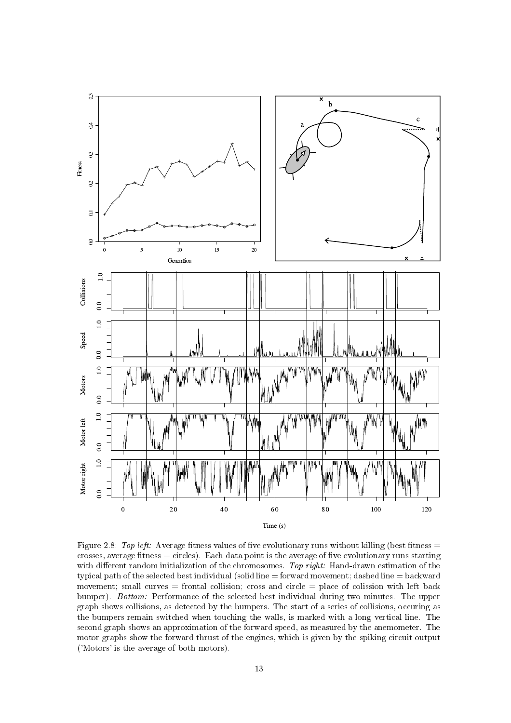

Figure 2.8: Top left: Average fitness values of five evolutionary runs without killing (best fitness  $=$ crosses, average fitness  $=$  circles). Each data point is the average of five evolutionary runs starting with different random initialization of the chromosomes. Top right: Hand-drawn estimation of the typical path of the selected best individual (solid line = forward movement; dashed line = backward movement; small curves = frontal collision; cross and circle = place of collssion with left back bumper). Bottom: Performance of the selected best individual during two minutes. The upper graph shows collisions, as detected by the bumpers. The start of a series of collisions, occuring as the bumpers remain switched when touching the walls, is marked with a long vertical line. The second graph shows an approximation of the forward speed, as measured by the anemometer. The motor graphs show the forward thrust of the engines, which is given by the spiking circuit output ('Motors' is the average of both motors).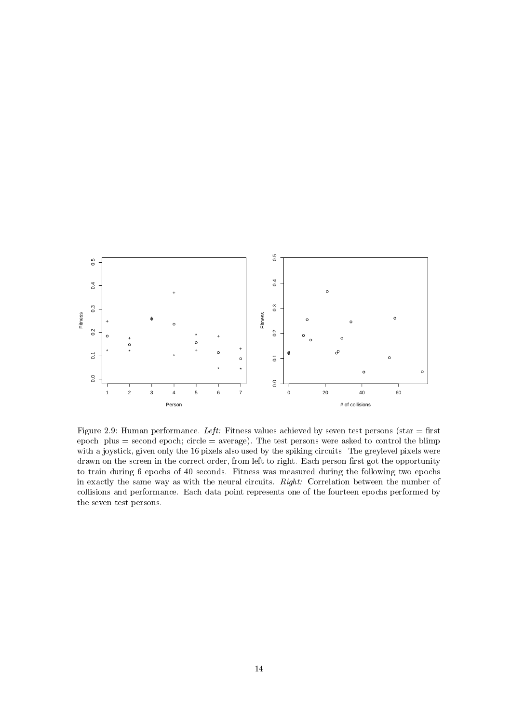

Figure 2.9: Human performance. Left: Fitness values achieved by seven test persons (star = first epoch; plus = second epoch; circle =  $average$ ). The test persons were asked to control the blimp with a joystick, given only the 16 pixels also used by the spiking circuits. The greylevel pixels were drawn on the screen in the correct order, from left to right. Each person first got the opportunity to train during 6 epochs of 40 seconds. Fitness was measured during the following two epochs in exactly the same way as with the neural circuits. Right: Correlation between the number of collisions and performance. Each data point represents one of the fourteen epochs performed by the seven test persons.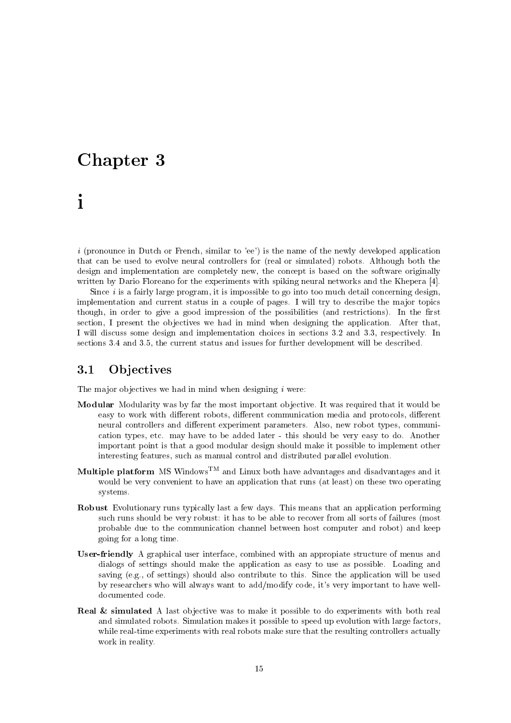### Chapter 3

## $\mathbf{i}$

*i* (pronounce in Dutch or French, similar to 'ee') is the name of the newly developed application that can be used to evolve neural controllers for (real or simulated) robots. Although both the design and implementation are completely new, the concept is based on the software originally written by Dario Floreano for the experiments with spiking neural networks and the Khepera [4].

Since  $i$  is a fairly large program, it is impossible to go into too much detail concerning design, implementation and current status in a couple of pages. I will try to describe the major topics though, in order to give a good impression of the possibilities (and restrictions). In the first section, I present the objectives we had in mind when designing the application. After that, I will discuss some design and implementation choices in sections 3.2 and 3.3, respectively. In sections 3.4 and 3.5, the current status and issues for further development will be described.

#### Objectives 3.1

The major objectives we had in mind when designing  $i$  were:

- **Modular** Modularity was by far the most important objective. It was required that it would be easy to work with different robots, different communication media and protocols, different neural controllers and different experiment parameters. Also, new robot types, communication types, etc. may have to be added later - this should be very easy to do. Another important point is that a good modular design should make it possible to implement other interesting features, such as manual control and distributed parallel evolution.
- Multiple platform MS Windows<sup>TM</sup> and Linux both have advantages and disadvantages and it would be very convenient to have an application that runs (at least) on these two operating systems.
- **Robust** Evolutionary runs typically last a few days. This means that an application performing such runs should be very robust: it has to be able to recover from all sorts of failures (most probable due to the communication channel between host computer and robot) and keep going for a long time.
- **User-friendly** A graphical user interface, combined with an appropiate structure of menus and dialogs of settings should make the application as easy to use as possible. Loading and saving (e.g., of settings) should also contribute to this. Since the application will be used by researchers who will always want to add/modify code, it's very important to have welldocumented code.
- **Real & simulated** A last objective was to make it possible to do experiments with both real and simulated robots. Simulation makes it possible to speed up evolution with large factors, while real-time experiments with real robots make sure that the resulting controllers actually work in reality.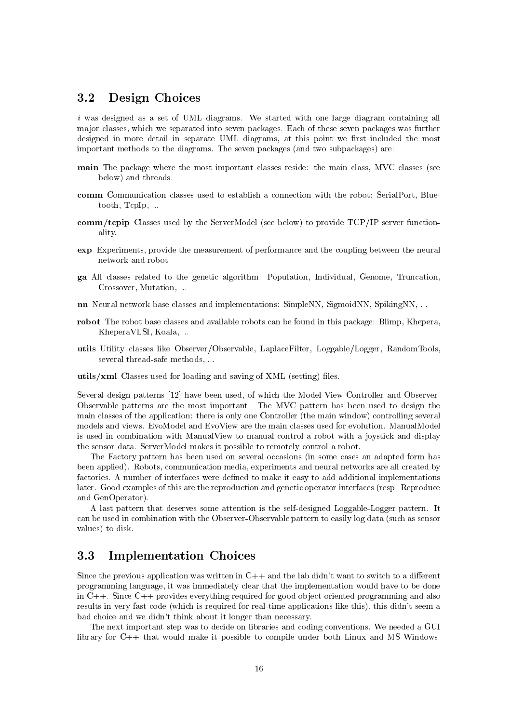#### Design Choices  $3.2$

*i* was designed as a set of UML diagrams. We started with one large diagram containing all major classes, which we separated into seven packages. Each of these seven packages was further designed in more detail in separate UML diagrams, at this point we first included the most important methods to the diagrams. The seven packages (and two subpackages) are:

- main The package where the most important classes reside: the main class, MVC classes (see below) and threads.
- comm Communication classes used to establish a connection with the robot: SerialPort, Bluetooth,  $Tcplp$ , ...
- comm/tepip Classes used by the ServerModel (see below) to provide TCP/IP server functionality.
- **exp** Experiments, provide the measurement of performance and the coupling between the neural network and robot.
- ga All classes related to the genetic algorithm: Population, Individual, Genome, Truncation, Crossover, Mutation, ...
- **nn** Neural network base classes and implementations: SimpleNN, SigmoidNN, SpikingNN, ...
- robot The robot base classes and available robots can be found in this package: Blimp, Khepera, KheperaVLSI, Koala, ...
- utils Utility classes like Observer/Observable, LaplaceFilter, Loggable/Logger, RandomTools, several thread-safe methods, ...
- utils/xml Classes used for loading and saving of XML (setting) files.

Several design patterns [12] have been used, of which the Model-View-Controller and Observer-Observable patterns are the most important. The MVC pattern has been used to design the main classes of the application: there is only one Controller (the main window) controlling several models and views. EvoModel and EvoView are the main classes used for evolution. ManualModel is used in combination with ManualView to manual control a robot with a joystick and display the sensor data. ServerModel makes it possible to remotely control a robot.

The Factory pattern has been used on several occasions (in some cases an adapted form has been applied). Robots, communication media, experiments and neural networks are all created by factories. A number of interfaces were defined to make it easy to add additional implementations later. Good examples of this are the reproduction and genetic operator interfaces (resp. Reproduce and GenOperator).

A last pattern that deserves some attention is the self-designed Loggable-Logger pattern. It can be used in combination with the Observer-Observable pattern to easily log data (such as sensor values) to disk.

#### 3.3 **Implementation Choices**

Since the previous application was written in  $C++$  and the lab didn't want to switch to a different programming language, it was immediately clear that the implementation would have to be done in  $C++$ . Since  $C++$  provides everything required for good object-oriented programming and also results in very fast code (which is required for real-time applications like this), this didn't seem a bad choice and we didn't think about it longer than necessary.

The next important step was to decide on libraries and coding conventions. We needed a GUI library for C++ that would make it possible to compile under both Linux and MS Windows.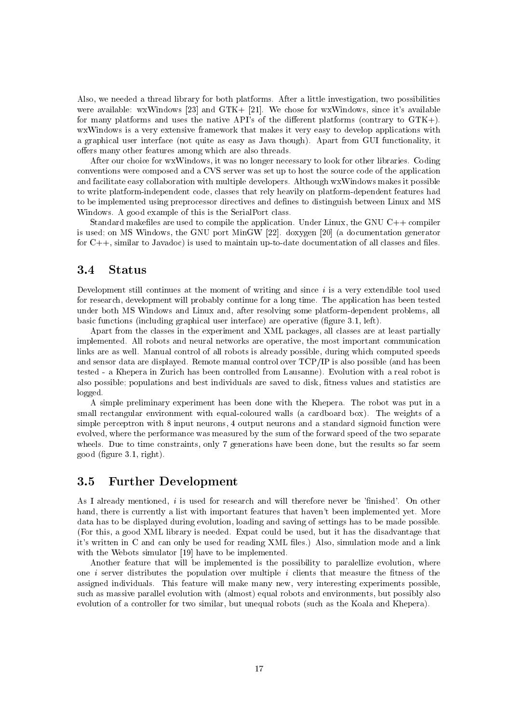Also, we needed a thread library for both platforms. After a little investigation, two possibilities were available: wxWindows [23] and  $GTK + [21]$ . We chose for wxWindows, since it's available for many platforms and uses the native API's of the different platforms (contrary to  $GTK+$ ). wxWindows is a very extensive framework that makes it very easy to develop applications with a graphical user interface (not quite as easy as Java though). Apart from GUI functionality, it offers many other features among which are also threads.

After our choice for wxWindows, it was no longer necessary to look for other libraries. Coding conventions were composed and a CVS server was set up to host the source code of the application and facilitate easy collaboration with multiple developers. Although wxWindows makes it possible to write platform-independent code, classes that rely heavily on platform-dependent features had to be implemented using preprocessor directives and defines to distinguish between Linux and MS Windows. A good example of this is the SerialPort class.

Standard makefiles are used to compile the application. Under Linux, the GNU C++ compiler is used; on MS Windows, the GNU port MinGW [22]. doxygen [20] (a documentation generator for  $C_{++}$ , similar to Javadoc) is used to maintain up-to-date documentation of all classes and files.

#### $3.4$ **Status**

Development still continues at the moment of writing and since i is a very extendible tool used for research, development will probably continue for a long time. The application has been tested under both MS Windows and Linux and, after resolving some platform-dependent problems, all basic functions (including graphical user interface) are operative (figure 3.1, left).

Apart from the classes in the experiment and XML packages, all classes are at least partially implemented. All robots and neural networks are operative, the most important communication links are as well. Manual control of all robots is already possible, during which computed speeds and sensor data are displayed. Remote manual control over TCP/IP is also possible (and has been tested - a Khepera in Zurich has been controlled from Lausanne). Evolution with a real robot is also possible; populations and best individuals are saved to disk, fitness values and statistics are logged.

A simple preliminary experiment has been done with the Khepera. The robot was put in a small rectangular environment with equal-coloured walls (a cardboard box). The weights of a simple perceptron with 8 input neurons, 4 output neurons and a standard sigmoid function were evolved, where the performance was measured by the sum of the forward speed of the two separate wheels. Due to time constraints, only 7 generations have been done, but the results so far seem good (figure 3.1, right).

#### 3.5 **Further Development**

As I already mentioned, i is used for research and will therefore never be 'finished'. On other hand, there is currently a list with important features that haven't been implemented yet. More data has to be displayed during evolution, loading and saving of settings has to be made possible. (For this, a good XML library is needed. Expat could be used, but it has the disadvantage that it's written in C and can only be used for reading XML files.) Also, simulation mode and a link with the Webots simulator [19] have to be implemented.

Another feature that will be implemented is the possibility to paralellize evolution, where one *i* server distributes the population over multiple *i* clients that measure the fitness of the assigned individuals. This feature will make many new, very interesting experiments possible, such as massive parallel evolution with (almost) equal robots and environments, but possibly also evolution of a controller for two similar, but unequal robots (such as the Koala and Khepera).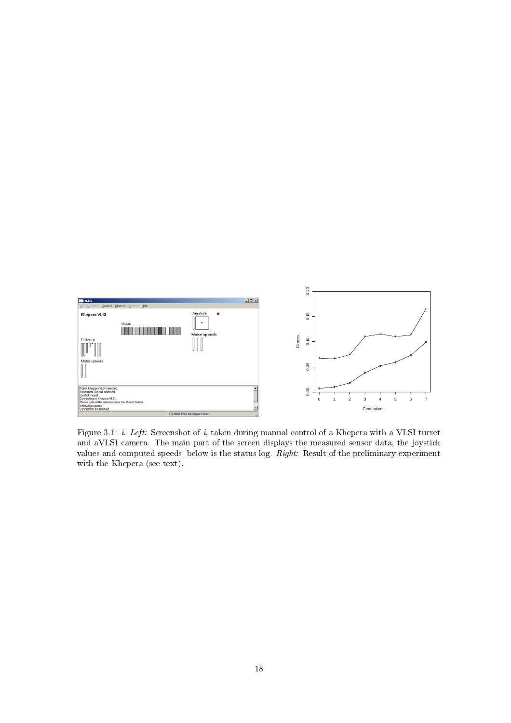

Figure 3.1: *i. Left:* Screenshot of *i*, taken during manual control of a Khepera with a VLSI turret and aVLSI camera. The main part of the screen displays the measured sensor data, the joystick values and computed speeds; below is the status log. Right: Result of the preliminary experiment with the Khepera (see text).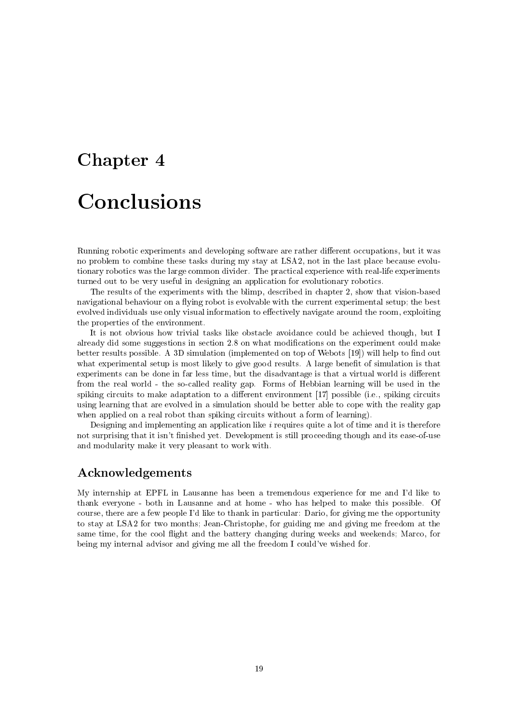# Chapter 4 Conclusions

Running robotic experiments and developing software are rather different occupations, but it was no problem to combine these tasks during my stay at LSA2, not in the last place because evolutionary robotics was the large common divider. The practical experience with real-life experiments turned out to be very useful in designing an application for evolutionary robotics.

The results of the experiments with the blimp, described in chapter 2, show that vision-based navigational behaviour on a flying robot is evolvable with the current experimental setup; the best evolved individuals use only visual information to effectively navigate around the room, exploiting the properties of the environment.

It is not obvious how trivial tasks like obstacle avoidance could be achieved though, but I already did some suggestions in section 2.8 on what modifications on the experiment could make better results possible. A 3D simulation (implemented on top of Webots [19]) will help to find out what experimental setup is most likely to give good results. A large benefit of simulation is that experiments can be done in far less time, but the disadvantage is that a virtual world is different from the real world - the so-called reality gap. Forms of Hebbian learning will be used in the spiking circuits to make adaptation to a different environment [17] possible (i.e., spiking circuits using learning that are evolved in a simulation should be better able to cope with the reality gap when applied on a real robot than spiking circuits without a form of learning).

Designing and implementing an application like  $i$  requires quite a lot of time and it is therefore not surprising that it isn't finished yet. Development is still proceeding though and its ease-of-use and modularity make it very pleasant to work with.

### Acknowledgements

My internship at EPFL in Lausanne has been a tremendous experience for me and I'd like to thank everyone - both in Lausanne and at home - who has helped to make this possible. Of course, there are a few people I'd like to thank in particular: Dario, for giving me the opportunity to stay at LSA2 for two months; Jean-Christophe, for guiding me and giving me freedom at the same time, for the cool flight and the battery changing during weeks and weekends; Marco, for being my internal advisor and giving me all the freedom I could've wished for.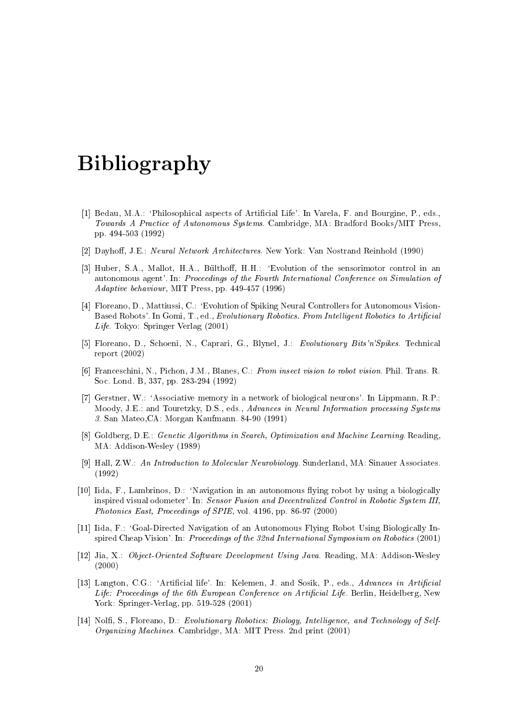## **Bibliography**

- [1] Bedau, M.A.: 'Philosophical aspects of Artificial Life'. In Varela, F. and Bourgine, P., eds., Towards A Practice of Autonomous Systems. Cambridge, MA: Bradford Books/MIT Press, pp. 494-503 (1992)
- [2] Dayhoff, J.E.: Neural Network Architectures. New York: Van Nostrand Reinhold (1990)
- [3] Huber, S.A., Mallot, H.A., Bülthoff, H.H.: 'Evolution of the sensorimotor control in an autonomous agent'. In: Proceedings of the Fourth International Conference on Simulation of *Adaptive behaviour*, MIT Press, pp. 449-457 (1996)
- [4] Floreano, D., Mattiussi, C.: 'Evolution of Spiking Neural Controllers for Autonomous Vision-Based Robots'. In Gomi, T., ed., Evolutionary Robotics. From Intelligent Robotics to Artificial Life. Tokyo: Springer Verlag (2001)
- [5] Floreano, D., Schoeni, N., Caprari, G., Blynel, J.: Evolutionary Bits'n'Spikes. Technical report  $(2002)$
- [6] Franceschini, N., Pichon, J.M., Blanes, C.: From insect vision to robot vision. Phil. Trans. R. Soc. Lond. B, 337, pp. 283-294 (1992)
- [7] Gerstner, W.: 'Associative memory in a network of biological neurons'. In Lippmann, R.P.; Moody, J.E.; and Touretzky, D.S., eds., Advances in Neural Information processing Systems 3. San Mateo, CA: Morgan Kaufmann. 84-90 (1991)
- [8] Goldberg, D.E.: Genetic Algorithms in Search, Optimization and Machine Learning. Reading. MA: Addison-Wesley (1989)
- [9] Hall, Z.W.: An Introduction to Molecular Neurobiology. Sunderland, MA: Sinauer Associates.  $(1992)$
- [10] Iida, F., Lambrinos, D.: 'Navigation in an autonomous flying robot by using a biologically inspired visual odometer'. In: Sensor Fusion and Decentralized Control in Robotic System III, Photonics East, Proceedings of SPIE, vol. 4196, pp. 86-97 (2000)
- [11] Iida, F.: 'Goal-Directed Navigation of an Autonomous Flying Robot Using Biologically Inspired Cheap Vision'. In: Proceedings of the 32nd International Symposium on Robotics (2001)
- [12] Jia, X.: Object-Oriented Software Development Using Java. Reading, MA: Addison-Wesley  $(2000)$
- [13] Langton, C.G.: 'Artificial life'. In: Kelemen, J. and Sosik, P., eds., Advances in Artificial Life: Proceedings of the 6th European Conference on Artificial Life. Berlin, Heidelberg, New York: Springer-Verlag, pp. 519-528 (2001)
- [14] Nolfi, S., Floreano, D.: Evolutionary Robotics: Biology, Intelligence, and Technology of Self-*Organizing Machines.* Cambridge, MA: MIT Press. 2nd print (2001)